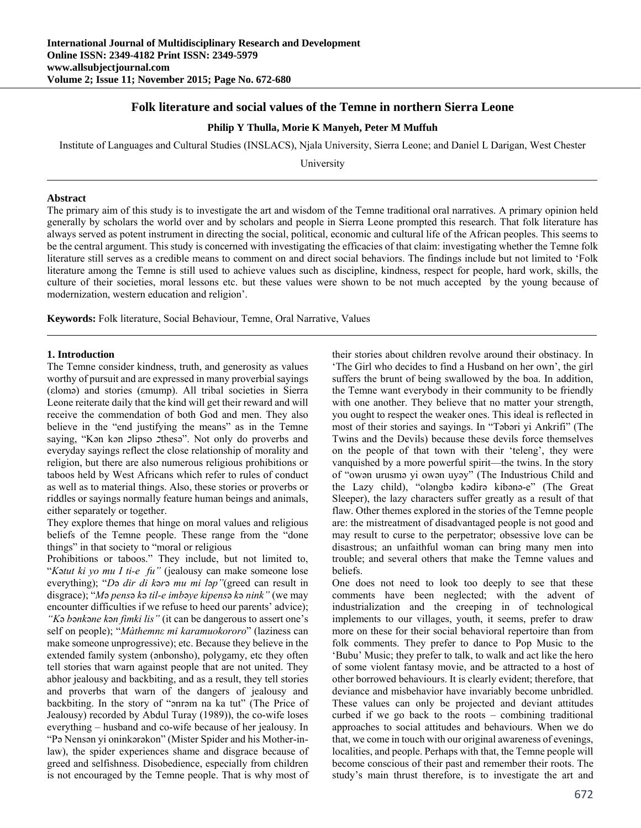# **Folk literature and social values of the Temne in northern Sierra Leone**

### **Philip Y Thulla, Morie K Manyeh, Peter M Muffuh**

Institute of Languages and Cultural Studies (INSLACS), Njala University, Sierra Leone; and Daniel L Darigan, West Chester

University

### **Abstract**

The primary aim of this study is to investigate the art and wisdom of the Temne traditional oral narratives. A primary opinion held generally by scholars the world over and by scholars and people in Sierra Leone prompted this research. That folk literature has always served as potent instrument in directing the social, political, economic and cultural life of the African peoples. This seems to be the central argument. This study is concerned with investigating the efficacies of that claim: investigating whether the Temne folk literature still serves as a credible means to comment on and direct social behaviors. The findings include but not limited to 'Folk literature among the Temne is still used to achieve values such as discipline, kindness, respect for people, hard work, skills, the culture of their societies, moral lessons etc. but these values were shown to be not much accepted by the young because of modernization, western education and religion'.

**Keywords:** Folk literature, Social Behaviour, Temne, Oral Narrative, Values

### **1. Introduction**

The Temne consider kindness, truth, and generosity as values worthy of pursuit and are expressed in many proverbial sayings (εlomə) and stories (εmump). All tribal societies in Sierra Leone reiterate daily that the kind will get their reward and will receive the commendation of both God and men. They also believe in the "end justifying the means" as in the Temne saying, "Kən kən *כ*lipso *כ*thesə". Not only do proverbs and everyday sayings reflect the close relationship of morality and religion, but there are also numerous religious prohibitions or taboos held by West Africans which refer to rules of conduct as well as to material things. Also, these stories or proverbs or riddles or sayings normally feature human beings and animals, either separately or together.

They explore themes that hinge on moral values and religious beliefs of the Temne people. These range from the "done things" in that society to "moral or religious

Prohibitions or taboos." They include, but not limited to, "*K*ə*tut ki yo mu I ti-e fu"* (jealousy can make someone lose everything); "*D*ə *dir di k*ə*r*ə *mu mi l*ə*p"*(greed can result in disgrace); "*M*ə *pens*ə *k*ə *til-e imb*ə*ye kipens*ə *k*ə *nink"* (we may encounter difficulties if we refuse to heed our parents' advice); *"K*ə *b*ə*nk*ə*ne k*ə*n fimki lis"* (it can be dangerous to assert one's self on people); "*Màthemnε mi karamuokororo*" (laziness can make someone unprogressive); etc. Because they believe in the extended family system (ənbonsho), polygamy, etc they often tell stories that warn against people that are not united. They abhor jealousy and backbiting, and as a result, they tell stories and proverbs that warn of the dangers of jealousy and backbiting. In the story of "ənrəm na ka tut" (The Price of Jealousy) recorded by Abdul Turay (1989)), the co-wife loses everything – husband and co-wife because of her jealousy. In "Pə Nensən yi oninkərəkon" (Mister Spider and his Mother-inlaw), the spider experiences shame and disgrace because of greed and selfishness. Disobedience, especially from children is not encouraged by the Temne people. That is why most of

their stories about children revolve around their obstinacy. In 'The Girl who decides to find a Husband on her own', the girl suffers the brunt of being swallowed by the boa. In addition, the Temne want everybody in their community to be friendly with one another. They believe that no matter your strength, you ought to respect the weaker ones. This ideal is reflected in most of their stories and sayings. In "Təbəri yi Ankrifi" (The Twins and the Devils) because these devils force themselves on the people of that town with their 'teleng', they were vanquished by a more powerful spirit—the twins. In the story of "owən urusmə yi owən uyəy" (The Industrious Child and the Lazy child), "oləngbə kədirə kibənə-e" (The Great Sleeper), the lazy characters suffer greatly as a result of that flaw. Other themes explored in the stories of the Temne people are: the mistreatment of disadvantaged people is not good and may result to curse to the perpetrator; obsessive love can be disastrous; an unfaithful woman can bring many men into trouble; and several others that make the Temne values and beliefs.

One does not need to look too deeply to see that these comments have been neglected; with the advent of industrialization and the creeping in of technological implements to our villages, youth, it seems, prefer to draw more on these for their social behavioral repertoire than from folk comments. They prefer to dance to Pop Music to the 'Bubu' Music; they prefer to talk, to walk and act like the hero of some violent fantasy movie, and be attracted to a host of other borrowed behaviours. It is clearly evident; therefore, that deviance and misbehavior have invariably become unbridled. These values can only be projected and deviant attitudes curbed if we go back to the roots – combining traditional approaches to social attitudes and behaviours. When we do that, we come in touch with our original awareness of evenings, localities, and people. Perhaps with that, the Temne people will become conscious of their past and remember their roots. The study's main thrust therefore, is to investigate the art and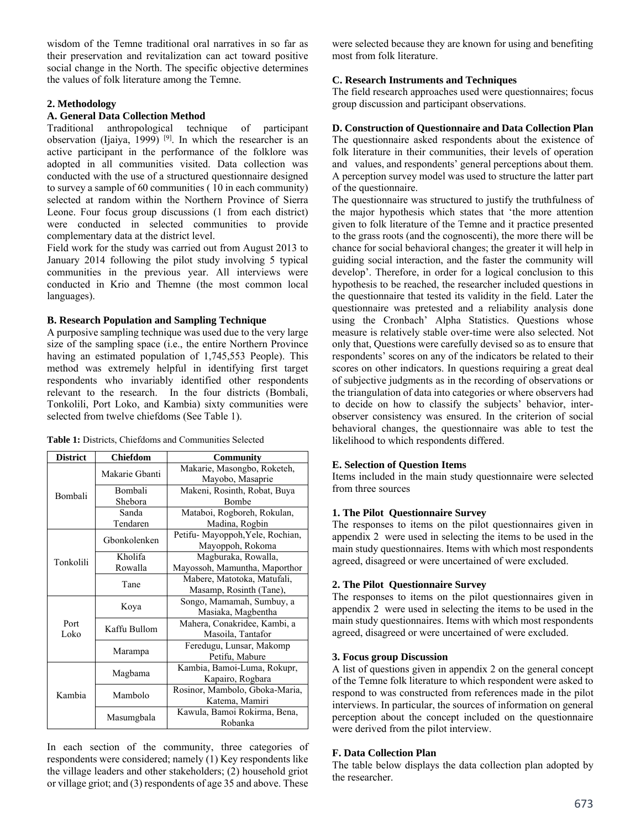wisdom of the Temne traditional oral narratives in so far as their preservation and revitalization can act toward positive social change in the North. The specific objective determines the values of folk literature among the Temne.

# **2. Methodology**

### **A. General Data Collection Method**

Traditional anthropological technique of participant observation (Ijaiya, 1999)<sup>[9]</sup>. In which the researcher is an active participant in the performance of the folklore was adopted in all communities visited. Data collection was conducted with the use of a structured questionnaire designed to survey a sample of 60 communities ( 10 in each community) selected at random within the Northern Province of Sierra Leone. Four focus group discussions (1 from each district) were conducted in selected communities to provide complementary data at the district level.

Field work for the study was carried out from August 2013 to January 2014 following the pilot study involving 5 typical communities in the previous year. All interviews were conducted in Krio and Themne (the most common local languages).

## **B. Research Population and Sampling Technique**

A purposive sampling technique was used due to the very large size of the sampling space (i.e., the entire Northern Province having an estimated population of 1,745,553 People). This method was extremely helpful in identifying first target respondents who invariably identified other respondents relevant to the research. In the four districts (Bombali, Tonkolili, Port Loko, and Kambia) sixty communities were selected from twelve chiefdoms (See Table 1).

| <b>District</b> | <b>Chiefdom</b> | Community                       |  |
|-----------------|-----------------|---------------------------------|--|
| Bombali         | Makarie Ghanti  | Makarie, Masongbo, Roketeh,     |  |
|                 |                 | Mayobo, Masaprie                |  |
|                 | Bombali         | Makeni, Rosinth, Robat, Buya    |  |
|                 | Shebora         | Bombe                           |  |
|                 | Sanda           | Mataboi, Rogboreh, Rokulan,     |  |
|                 | Tendaren        | Madina, Rogbin                  |  |
| Tonkolili       | Gbonkolenken    | Petifu-Mayoppoh, Yele, Rochian, |  |
|                 |                 | Mayoppoh, Rokoma                |  |
|                 | Kholifa         | Magburaka, Rowalla,             |  |
|                 | Rowalla         | Mayossoh, Mamuntha, Maporthor   |  |
|                 | Tane            | Mabere, Matotoka, Matufali,     |  |
|                 |                 | Masamp, Rosinth (Tane),         |  |
|                 | Koya            | Songo, Mamamah, Sumbuy, a       |  |
| Port<br>Loko    |                 | Masiaka, Magbentha              |  |
|                 | Kaffu Bullom    | Mahera, Conakridee, Kambi, a    |  |
|                 |                 | Masoila, Tantafor               |  |
|                 | Marampa         | Feredugu, Lunsar, Makomp        |  |
|                 |                 | Petifu, Mabure                  |  |
| Kambia          | Magbama         | Kambia, Bamoi-Luma, Rokupr,     |  |
|                 |                 | Kapairo, Rogbara                |  |
|                 | Mambolo         | Rosinor, Mambolo, Gboka-Maria,  |  |
|                 |                 | Katema, Mamiri                  |  |
|                 | Masumgbala      | Kawula, Bamoi Rokirma, Bena,    |  |
|                 |                 | Robanka                         |  |

**Table 1:** Districts, Chiefdoms and Communities Selected

In each section of the community, three categories of respondents were considered; namely (1) Key respondents like the village leaders and other stakeholders; (2) household griot or village griot; and (3) respondents of age 35 and above. These

were selected because they are known for using and benefiting most from folk literature.

# **C. Research Instruments and Techniques**

The field research approaches used were questionnaires; focus group discussion and participant observations.

# **D. Construction of Questionnaire and Data Collection Plan**

The questionnaire asked respondents about the existence of folk literature in their communities, their levels of operation and values, and respondents' general perceptions about them. A perception survey model was used to structure the latter part of the questionnaire.

The questionnaire was structured to justify the truthfulness of the major hypothesis which states that 'the more attention given to folk literature of the Temne and it practice presented to the grass roots (and the cognoscenti), the more there will be chance for social behavioral changes; the greater it will help in guiding social interaction, and the faster the community will develop'. Therefore, in order for a logical conclusion to this hypothesis to be reached, the researcher included questions in the questionnaire that tested its validity in the field. Later the questionnaire was pretested and a reliability analysis done using the Cronbach' Alpha Statistics. Questions whose measure is relatively stable over-time were also selected. Not only that, Questions were carefully devised so as to ensure that respondents' scores on any of the indicators be related to their scores on other indicators. In questions requiring a great deal of subjective judgments as in the recording of observations or the triangulation of data into categories or where observers had to decide on how to classify the subjects' behavior, interobserver consistency was ensured. In the criterion of social behavioral changes, the questionnaire was able to test the likelihood to which respondents differed.

# **E. Selection of Question Items**

Items included in the main study questionnaire were selected from three sources

## **1. The Pilot Questionnaire Survey**

The responses to items on the pilot questionnaires given in appendix 2 were used in selecting the items to be used in the main study questionnaires. Items with which most respondents agreed, disagreed or were uncertained of were excluded.

## **2. The Pilot Questionnaire Survey**

The responses to items on the pilot questionnaires given in appendix 2 were used in selecting the items to be used in the main study questionnaires. Items with which most respondents agreed, disagreed or were uncertained of were excluded.

## **3. Focus group Discussion**

A list of questions given in appendix 2 on the general concept of the Temne folk literature to which respondent were asked to respond to was constructed from references made in the pilot interviews. In particular, the sources of information on general perception about the concept included on the questionnaire were derived from the pilot interview.

# **F. Data Collection Plan**

The table below displays the data collection plan adopted by the researcher.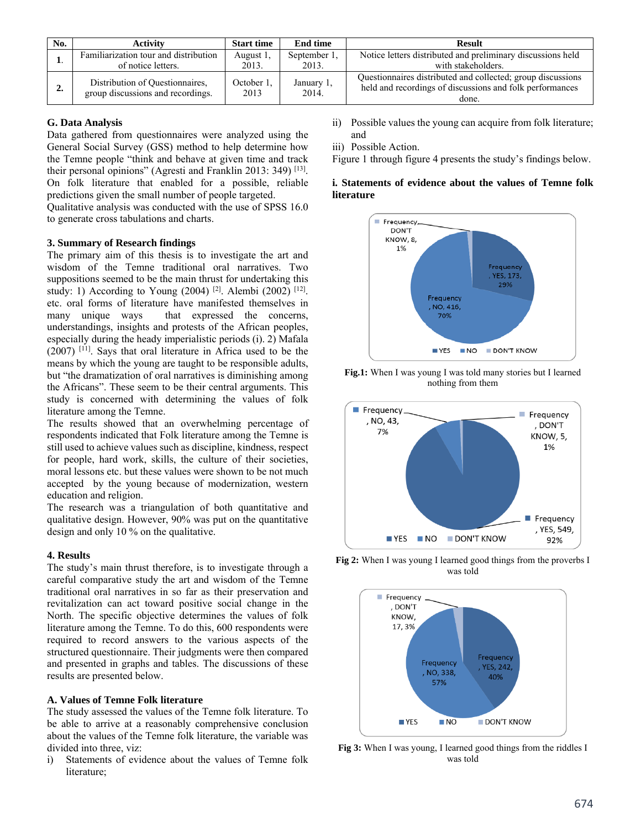| No. | <b>Activity</b>                       | <b>Start time</b>  | <b>End time</b>     | <b>Result</b>                                                                                                           |
|-----|---------------------------------------|--------------------|---------------------|-------------------------------------------------------------------------------------------------------------------------|
|     | Familiarization tour and distribution | August 1.          | September 1.        | Notice letters distributed and preliminary discussions held                                                             |
|     | of notice letters.                    | 2013.              | 2013.               | with stakeholders.                                                                                                      |
| ٠.  | Distribution of Questionnaires,       | October 1.<br>2013 | January 1,<br>2014. | Questionnaires distributed and collected; group discussions<br>held and recordings of discussions and folk performances |
|     | group discussions and recordings.     |                    |                     | done.                                                                                                                   |

### **G. Data Analysis**

Data gathered from questionnaires were analyzed using the General Social Survey (GSS) method to help determine how the Temne people "think and behave at given time and track their personal opinions" (Agresti and Franklin 2013: 349)  $^{[13]}$ . On folk literature that enabled for a possible, reliable predictions given the small number of people targeted.

Qualitative analysis was conducted with the use of SPSS 16.0 to generate cross tabulations and charts.

#### **3. Summary of Research findings**

The primary aim of this thesis is to investigate the art and wisdom of the Temne traditional oral narratives. Two suppositions seemed to be the main thrust for undertaking this study: 1) According to Young (2004)<sup>[2]</sup>. Alembi (2002)<sup>[12]</sup>. etc. oral forms of literature have manifested themselves in many unique ways that expressed the concerns, understandings, insights and protests of the African peoples, especially during the heady imperialistic periods (i). 2) Mafala  $(2007)$ <sup>[11]</sup>. Says that oral literature in Africa used to be the means by which the young are taught to be responsible adults, but "the dramatization of oral narratives is diminishing among the Africans". These seem to be their central arguments. This study is concerned with determining the values of folk literature among the Temne.

The results showed that an overwhelming percentage of respondents indicated that Folk literature among the Temne is still used to achieve values such as discipline, kindness, respect for people, hard work, skills, the culture of their societies, moral lessons etc. but these values were shown to be not much accepted by the young because of modernization, western education and religion.

The research was a triangulation of both quantitative and qualitative design. However, 90% was put on the quantitative design and only 10 % on the qualitative.

### **4. Results**

The study's main thrust therefore, is to investigate through a careful comparative study the art and wisdom of the Temne traditional oral narratives in so far as their preservation and revitalization can act toward positive social change in the North. The specific objective determines the values of folk literature among the Temne. To do this, 600 respondents were required to record answers to the various aspects of the structured questionnaire. Their judgments were then compared and presented in graphs and tables. The discussions of these results are presented below.

#### **A. Values of Temne Folk literature**

The study assessed the values of the Temne folk literature. To be able to arrive at a reasonably comprehensive conclusion about the values of the Temne folk literature, the variable was divided into three, viz:

i) Statements of evidence about the values of Temne folk literature;

- ii) Possible values the young can acquire from folk literature; and
- iii) Possible Action.

Figure 1 through figure 4 presents the study's findings below.

## **i. Statements of evidence about the values of Temne folk literature**



**Fig.1:** When I was young I was told many stories but I learned nothing from them



**Fig 2:** When I was young I learned good things from the proverbs I was told



**Fig 3:** When I was young, I learned good things from the riddles I was told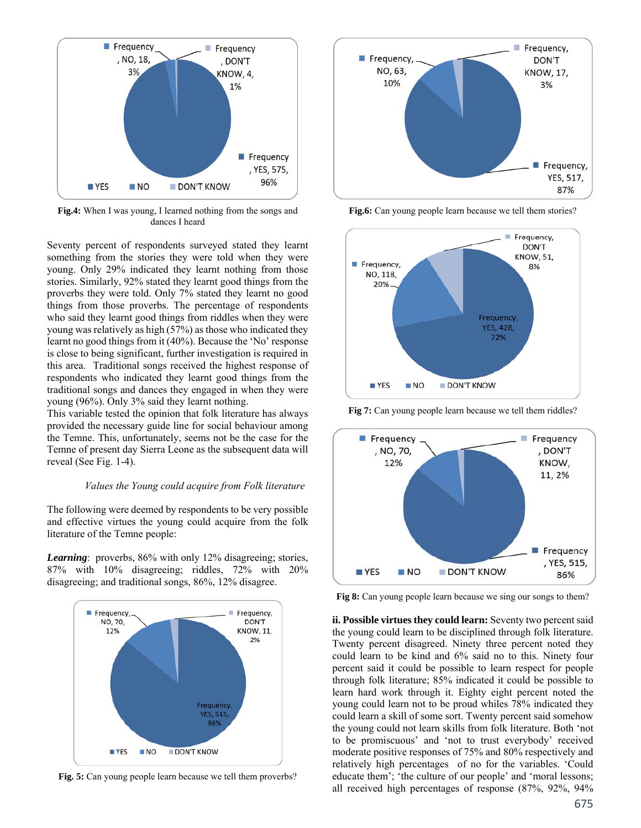

**Fig.4:** When I was young, I learned nothing from the songs and dances I heard

Seventy percent of respondents surveyed stated they learnt something from the stories they were told when they were young. Only 29% indicated they learnt nothing from those stories. Similarly, 92% stated they learnt good things from the proverbs they were told. Only 7% stated they learnt no good things from those proverbs. The percentage of respondents who said they learnt good things from riddles when they were young was relatively as high (57%) as those who indicated they learnt no good things from it (40%). Because the 'No' response is close to being significant, further investigation is required in this area. Traditional songs received the highest response of respondents who indicated they learnt good things from the traditional songs and dances they engaged in when they were young (96%). Only 3% said they learnt nothing.

This variable tested the opinion that folk literature has always provided the necessary guide line for social behaviour among the Temne. This, unfortunately, seems not be the case for the Temne of present day Sierra Leone as the subsequent data will reveal (See Fig. 1-4).

#### *Values the Young could acquire from Folk literature*

The following were deemed by respondents to be very possible and effective virtues the young could acquire from the folk literature of the Temne people:

*Learning*: proverbs, 86% with only 12% disagreeing; stories, 87% with 10% disagreeing; riddles, 72% with 20% disagreeing; and traditional songs, 86%, 12% disagree.



**Fig. 5:** Can young people learn because we tell them proverbs?



Fig.6: Can young people learn because we tell them stories?



**Fig 7:** Can young people learn because we tell them riddles?



Fig 8: Can young people learn because we sing our songs to them?

**ii. Possible virtues they could learn:** Seventy two percent said the young could learn to be disciplined through folk literature. Twenty percent disagreed. Ninety three percent noted they could learn to be kind and 6% said no to this. Ninety four percent said it could be possible to learn respect for people through folk literature; 85% indicated it could be possible to learn hard work through it. Eighty eight percent noted the young could learn not to be proud whiles 78% indicated they could learn a skill of some sort. Twenty percent said somehow the young could not learn skills from folk literature. Both 'not to be promiscuous' and 'not to trust everybody' received moderate positive responses of 75% and 80% respectively and relatively high percentages of no for the variables. 'Could educate them'; 'the culture of our people' and 'moral lessons; all received high percentages of response (87%, 92%, 94%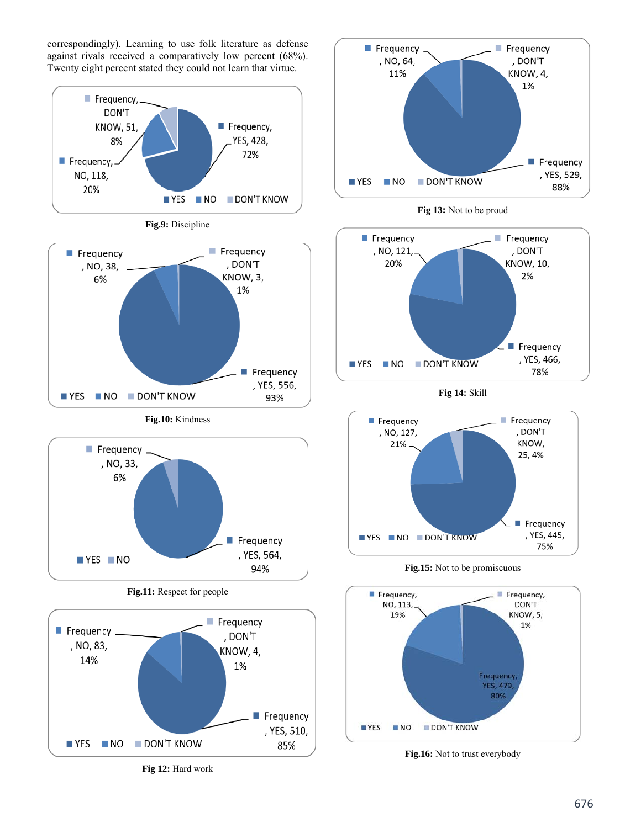correspondingly). Learning to use folk literature as defense against rivals received a comparatively low percent (68%). Twenty eight percent stated they could not learn that virtue.



**Fig 12:** Hard work







**Fig 14:** Skill



**Fig.15:** Not to be promiscuous



**Fig.16:** Not to trust everybody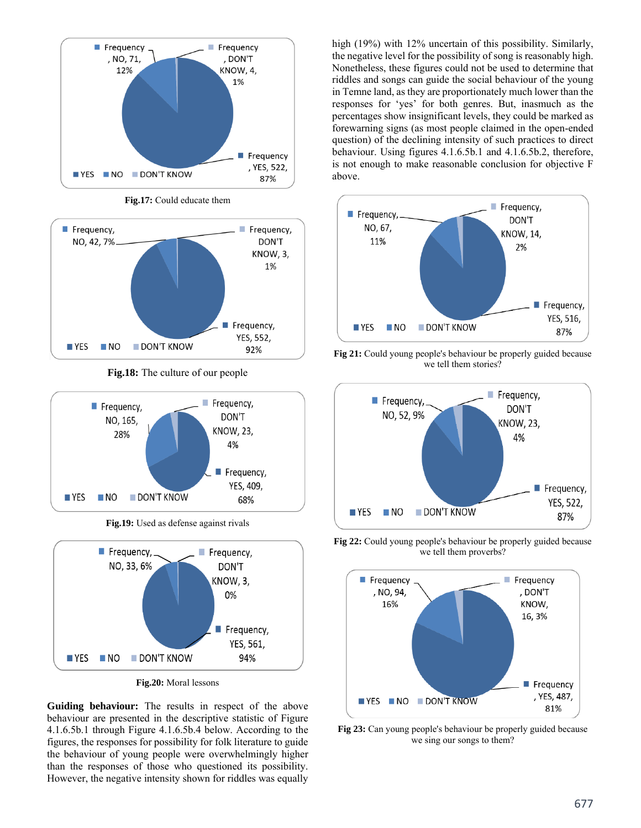

**Fig.17:** Could educate them



**Fig.18:** The culture of our people



**Fig.19:** Used as defense against rivals



**Fig.20:** Moral lessons

**Guiding behaviour:** The results in respect of the above behaviour are presented in the descriptive statistic of Figure 4.1.6.5b.1 through Figure 4.1.6.5b.4 below. According to the figures, the responses for possibility for folk literature to guide the behaviour of young people were overwhelmingly higher than the responses of those who questioned its possibility. However, the negative intensity shown for riddles was equally

high (19%) with 12% uncertain of this possibility. Similarly, the negative level for the possibility of song is reasonably high. Nonetheless, these figures could not be used to determine that riddles and songs can guide the social behaviour of the young in Temne land, as they are proportionately much lower than the responses for 'yes' for both genres. But, inasmuch as the percentages show insignificant levels, they could be marked as forewarning signs (as most people claimed in the open-ended question) of the declining intensity of such practices to direct behaviour. Using figures 4.1.6.5b.1 and 4.1.6.5b.2, therefore, is not enough to make reasonable conclusion for objective F above.



**Fig 21:** Could young people's behaviour be properly guided because we tell them stories?



**Fig 22:** Could young people's behaviour be properly guided because we tell them proverbs?



**Fig 23:** Can young people's behaviour be properly guided because we sing our songs to them?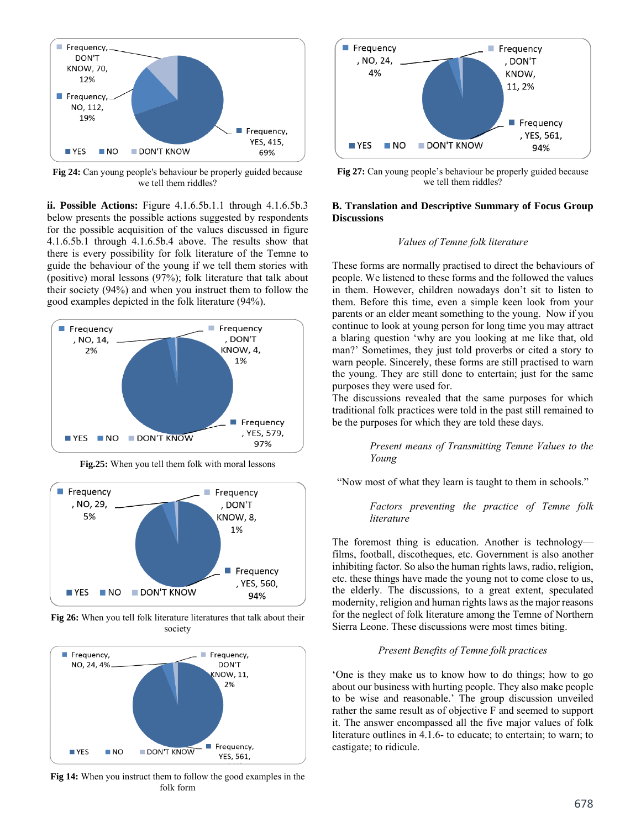

**Fig 24:** Can young people's behaviour be properly guided because we tell them riddles?

**ii. Possible Actions:** Figure 4.1.6.5b.1.1 through 4.1.6.5b.3 below presents the possible actions suggested by respondents for the possible acquisition of the values discussed in figure 4.1.6.5b.1 through 4.1.6.5b.4 above. The results show that there is every possibility for folk literature of the Temne to guide the behaviour of the young if we tell them stories with (positive) moral lessons (97%); folk literature that talk about their society (94%) and when you instruct them to follow the good examples depicted in the folk literature (94%).



**Fig.25:** When you tell them folk with moral lessons



**Fig 26:** When you tell folk literature literatures that talk about their society



**Fig 14:** When you instruct them to follow the good examples in the folk form



**Fig 27:** Can young people's behaviour be properly guided because we tell them riddles?

### **B. Translation and Descriptive Summary of Focus Group Discussions**

### *Values of Temne folk literature*

These forms are normally practised to direct the behaviours of people. We listened to these forms and the followed the values in them. However, children nowadays don't sit to listen to them. Before this time, even a simple keen look from your parents or an elder meant something to the young. Now if you continue to look at young person for long time you may attract a blaring question 'why are you looking at me like that, old man?' Sometimes, they just told proverbs or cited a story to warn people. Sincerely, these forms are still practised to warn the young. They are still done to entertain; just for the same purposes they were used for.

The discussions revealed that the same purposes for which traditional folk practices were told in the past still remained to be the purposes for which they are told these days.

> *Present means of Transmitting Temne Values to the Young*

"Now most of what they learn is taught to them in schools."

 *Factors preventing the practice of Temne folk literature* 

The foremost thing is education. Another is technology films, football, discotheques, etc. Government is also another inhibiting factor. So also the human rights laws, radio, religion, etc. these things have made the young not to come close to us, the elderly. The discussions, to a great extent, speculated modernity, religion and human rights laws as the major reasons for the neglect of folk literature among the Temne of Northern Sierra Leone. These discussions were most times biting.

#### *Present Benefits of Temne folk practices*

'One is they make us to know how to do things; how to go about our business with hurting people. They also make people to be wise and reasonable.' The group discussion unveiled rather the same result as of objective F and seemed to support it. The answer encompassed all the five major values of folk literature outlines in 4.1.6- to educate; to entertain; to warn; to castigate; to ridicule.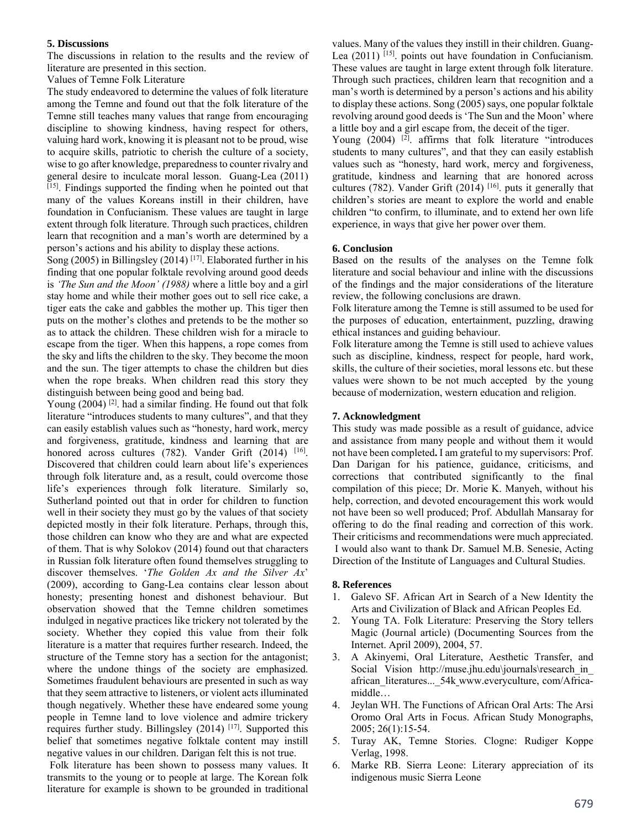### **5. Discussions**

The discussions in relation to the results and the review of literature are presented in this section.

Values of Temne Folk Literature

The study endeavored to determine the values of folk literature among the Temne and found out that the folk literature of the Temne still teaches many values that range from encouraging discipline to showing kindness, having respect for others, valuing hard work, knowing it is pleasant not to be proud, wise to acquire skills, patriotic to cherish the culture of a society, wise to go after knowledge, preparedness to counter rivalry and general desire to inculcate moral lesson. Guang-Lea (2011) [15]. Findings supported the finding when he pointed out that many of the values Koreans instill in their children, have foundation in Confucianism. These values are taught in large extent through folk literature. Through such practices, children learn that recognition and a man's worth are determined by a person's actions and his ability to display these actions.

Song (2005) in Billingsley (2014)  $[17]$ . Elaborated further in his finding that one popular folktale revolving around good deeds is *'The Sun and the Moon' (1988)* where a little boy and a girl stay home and while their mother goes out to sell rice cake, a tiger eats the cake and gabbles the mother up. This tiger then puts on the mother's clothes and pretends to be the mother so as to attack the children. These children wish for a miracle to escape from the tiger. When this happens, a rope comes from the sky and lifts the children to the sky. They become the moon and the sun. The tiger attempts to chase the children but dies when the rope breaks. When children read this story they distinguish between being good and being bad.

Young (2004)<sup>[2]</sup>. had a similar finding. He found out that folk literature "introduces students to many cultures", and that they can easily establish values such as "honesty, hard work, mercy and forgiveness, gratitude, kindness and learning that are honored across cultures (782). Vander Grift (2014)  $[16]$ . Discovered that children could learn about life's experiences through folk literature and, as a result, could overcome those life's experiences through folk literature. Similarly so, Sutherland pointed out that in order for children to function well in their society they must go by the values of that society depicted mostly in their folk literature. Perhaps, through this, those children can know who they are and what are expected of them. That is why Solokov (2014) found out that characters in Russian folk literature often found themselves struggling to discover themselves. '*The Golden Ax and the Silver Ax*' (2009), according to Gang-Lea contains clear lesson about honesty; presenting honest and dishonest behaviour. But observation showed that the Temne children sometimes indulged in negative practices like trickery not tolerated by the society. Whether they copied this value from their folk literature is a matter that requires further research. Indeed, the structure of the Temne story has a section for the antagonist; where the undone things of the society are emphasized. Sometimes fraudulent behaviours are presented in such as way that they seem attractive to listeners, or violent acts illuminated though negatively. Whether these have endeared some young people in Temne land to love violence and admire trickery requires further study. Billingsley (2014) [17]. Supported this belief that sometimes negative folktale content may instill negative values in our children. Darigan felt this is not true.

 Folk literature has been shown to possess many values. It transmits to the young or to people at large. The Korean folk literature for example is shown to be grounded in traditional

values. Many of the values they instill in their children. Guang-Lea (2011) <sup>[15]</sup>. points out have foundation in Confucianism. These values are taught in large extent through folk literature. Through such practices, children learn that recognition and a man's worth is determined by a person's actions and his ability to display these actions. Song (2005) says, one popular folktale revolving around good deeds is 'The Sun and the Moon' where a little boy and a girl escape from, the deceit of the tiger.

Young  $(2004)$  <sup>[2]</sup>. affirms that folk literature "introduces" students to many cultures", and that they can easily establish values such as "honesty, hard work, mercy and forgiveness, gratitude, kindness and learning that are honored across cultures (782). Vander Grift (2014) [16]. puts it generally that children's stories are meant to explore the world and enable children "to confirm, to illuminate, and to extend her own life experience, in ways that give her power over them.

### **6. Conclusion**

Based on the results of the analyses on the Temne folk literature and social behaviour and inline with the discussions of the findings and the major considerations of the literature review, the following conclusions are drawn.

Folk literature among the Temne is still assumed to be used for the purposes of education, entertainment, puzzling, drawing ethical instances and guiding behaviour.

Folk literature among the Temne is still used to achieve values such as discipline, kindness, respect for people, hard work, skills, the culture of their societies, moral lessons etc. but these values were shown to be not much accepted by the young because of modernization, western education and religion.

### **7. Acknowledgment**

This study was made possible as a result of guidance, advice and assistance from many people and without them it would not have been completed**.** I am grateful to my supervisors: Prof. Dan Darigan for his patience, guidance, criticisms, and corrections that contributed significantly to the final compilation of this piece; Dr. Morie K. Manyeh, without his help, correction, and devoted encouragement this work would not have been so well produced; Prof. Abdullah Mansaray for offering to do the final reading and correction of this work. Their criticisms and recommendations were much appreciated. I would also want to thank Dr. Samuel M.B. Senesie, Acting Direction of the Institute of Languages and Cultural Studies.

### **8. References**

- 1. Galevo SF. African Art in Search of a New Identity the Arts and Civilization of Black and African Peoples Ed.
- 2. Young TA. Folk Literature: Preserving the Story tellers Magic (Journal article) (Documenting Sources from the Internet. April 2009), 2004, 57.
- 3. A Akinyemi, Oral Literature, Aesthetic Transfer, and Social Vision http://muse.jhu.edu\journals\research\_in african\_literatures...\_54k www.everyculture, com/Africamiddle…
- 4. Jeylan WH. The Functions of African Oral Arts: The Arsi Oromo Oral Arts in Focus. African Study Monographs, 2005; 26(1):15-54.
- 5. Turay AK, Temne Stories. Clogne: Rudiger Koppe Verlag, 1998.
- 6. Marke RB. Sierra Leone: Literary appreciation of its indigenous music Sierra Leone